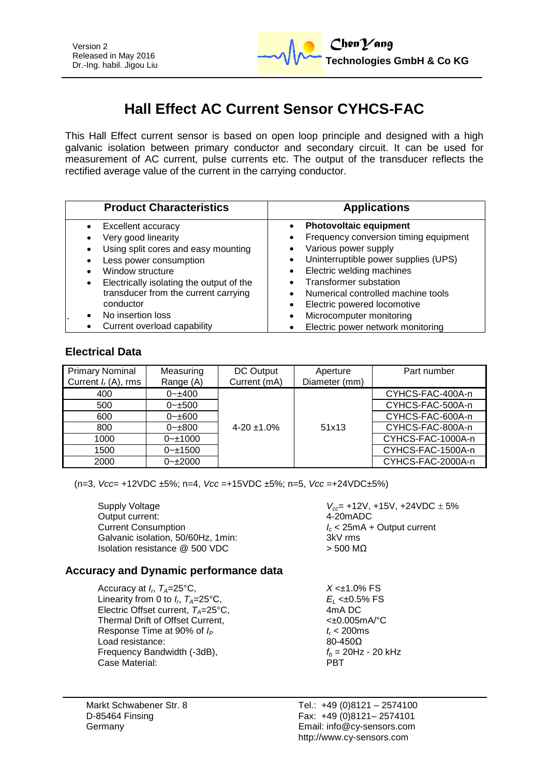

# **Hall Effect AC Current Sensor CYHCS-FAC**

This Hall Effect current sensor is based on open loop principle and designed with a high galvanic isolation between primary conductor and secondary circuit. It can be used for measurement of AC current, pulse currents etc. The output of the transducer reflects the rectified average value of the current in the carrying conductor.

| <b>Product Characteristics</b>                                                                                                                                                                                                                                                                   | <b>Applications</b>                                                                                                                                                                                                                                                                                                                                                               |  |  |
|--------------------------------------------------------------------------------------------------------------------------------------------------------------------------------------------------------------------------------------------------------------------------------------------------|-----------------------------------------------------------------------------------------------------------------------------------------------------------------------------------------------------------------------------------------------------------------------------------------------------------------------------------------------------------------------------------|--|--|
| Excellent accuracy<br>Very good linearity<br>Using split cores and easy mounting<br>Less power consumption<br>Window structure<br>Electrically isolating the output of the<br>transducer from the current carrying<br>conductor<br>No insertion loss<br>$\bullet$<br>Current overload capability | <b>Photovoltaic equipment</b><br>Frequency conversion timing equipment<br>Various power supply<br>Uninterruptible power supplies (UPS)<br>Electric welding machines<br>$\bullet$<br><b>Transformer substation</b><br>Numerical controlled machine tools<br>Electric powered locomotive<br>$\bullet$<br>Microcomputer monitoring<br>$\bullet$<br>Electric power network monitoring |  |  |

#### **Electrical Data**

| <b>Primary Nominal</b><br>Current $I_r(A)$ , rms | Measuring<br>Range (A) | DC Output<br>Current (mA) | Aperture<br>Diameter (mm) | Part number       |
|--------------------------------------------------|------------------------|---------------------------|---------------------------|-------------------|
| 400                                              | $0 - 400$              |                           |                           | CYHCS-FAC-400A-n  |
| 500                                              | $0 - \pm 500$          |                           |                           | CYHCS-FAC-500A-n  |
| 600                                              | $0 - \pm 600$          |                           |                           | CYHCS-FAC-600A-n  |
| 800                                              | $0 - \pm 800$          | $4-20 \pm 1.0\%$          | 51x13                     | CYHCS-FAC-800A-n  |
| 1000                                             | $0 - 1000$             |                           |                           | CYHCS-FAC-1000A-n |
| 1500                                             | $0 - 1500$             |                           |                           | CYHCS-FAC-1500A-n |
| 2000                                             | $0 - 2000$             |                           |                           | CYHCS-FAC-2000A-n |

(n=3, *Vcc*= +12VDC ±5%; n=4, *Vcc* =+15VDC ±5%; n=5, *Vcc* =+24VDC±5%)

Supply Voltage *V***<sub>cc</sub>**= +12V, +15V, +24VDC  $\pm$  5% Output current:  $\frac{4-20 \text{ mADC}}{4-20 \text{ mADC}}$ Output current: Current Consumption<br>Galvanic isolation, 50/60Hz, 1min:<br>
Galvanic isolation, 50/60Hz, 1min:<br>
2kV rms Galvanic isolation, 50/60Hz, 1min: Isolation resistance  $@$  500 VDC  $>$  500 MΩ

## **Accuracy and Dynamic performance data**

Accuracy at  $I_r$ ,  $T_A=25^{\circ}$ C, Linearity from 0 to  $I_r$ ,  $T_A = 25^\circ \text{C}$ , Electric Offset current,  $T_A = 25^{\circ}C$ , Thermal Drift of Offset Current,  $\leftarrow 0.005 \text{mA}^{\circ}\text{C}$ Response Time at 90% of  $I_P$   $t_r < 200 \text{ms}$ <br>Load resistance:  $80-4500$ Load resistance: Frequency Bandwidth (-3dB),  $f_b = 20Hz - 20kHz$ <br>Case Material: **Fig. 2014** Case Material:

Markt Schwabener Str. 8 D-85464 Finsing Germany

 $X < \pm 1.0\%$  FS

, *TA*=25°C, *E<sup>L</sup>* <±0.5% FS